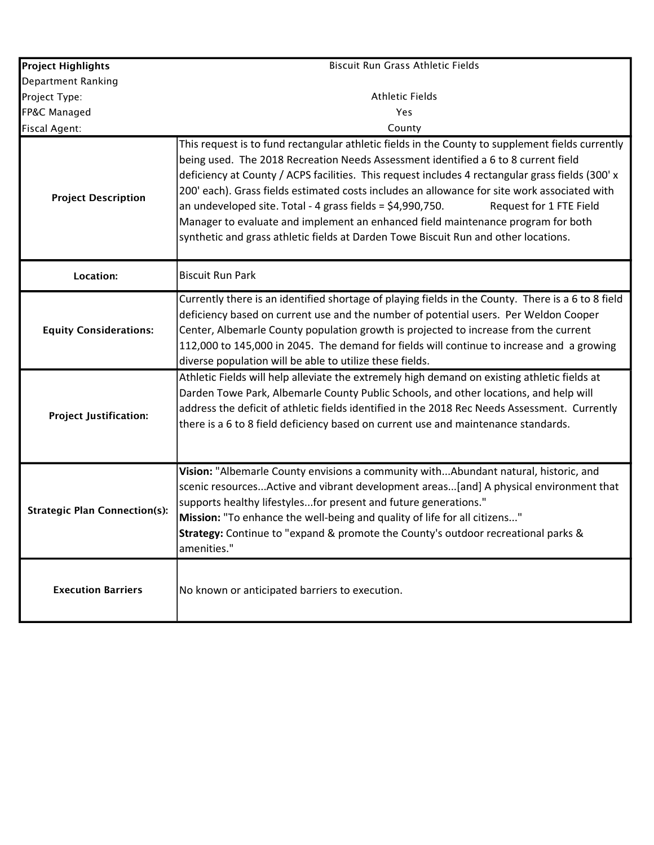| <b>Project Highlights</b>            | Biscuit Run Grass Athletic Fields                                                                                                                                                                                                                                                                                                                                                                                                                                                                                                                                                                                                                                |
|--------------------------------------|------------------------------------------------------------------------------------------------------------------------------------------------------------------------------------------------------------------------------------------------------------------------------------------------------------------------------------------------------------------------------------------------------------------------------------------------------------------------------------------------------------------------------------------------------------------------------------------------------------------------------------------------------------------|
| Department Ranking                   |                                                                                                                                                                                                                                                                                                                                                                                                                                                                                                                                                                                                                                                                  |
| Project Type:                        | <b>Athletic Fields</b>                                                                                                                                                                                                                                                                                                                                                                                                                                                                                                                                                                                                                                           |
| FP&C Managed                         | Yes                                                                                                                                                                                                                                                                                                                                                                                                                                                                                                                                                                                                                                                              |
| <b>Fiscal Agent:</b>                 | County                                                                                                                                                                                                                                                                                                                                                                                                                                                                                                                                                                                                                                                           |
| <b>Project Description</b>           | This request is to fund rectangular athletic fields in the County to supplement fields currently<br>being used. The 2018 Recreation Needs Assessment identified a 6 to 8 current field<br>deficiency at County / ACPS facilities. This request includes 4 rectangular grass fields (300' x<br>200' each). Grass fields estimated costs includes an allowance for site work associated with<br>an undeveloped site. Total - 4 grass fields = $$4,990,750$ .<br>Request for 1 FTE Field<br>Manager to evaluate and implement an enhanced field maintenance program for both<br>synthetic and grass athletic fields at Darden Towe Biscuit Run and other locations. |
| Location:                            | <b>Biscuit Run Park</b>                                                                                                                                                                                                                                                                                                                                                                                                                                                                                                                                                                                                                                          |
| <b>Equity Considerations:</b>        | Currently there is an identified shortage of playing fields in the County. There is a 6 to 8 field<br>deficiency based on current use and the number of potential users. Per Weldon Cooper<br>Center, Albemarle County population growth is projected to increase from the current<br>112,000 to 145,000 in 2045. The demand for fields will continue to increase and a growing<br>diverse population will be able to utilize these fields.                                                                                                                                                                                                                      |
| <b>Project Justification:</b>        | Athletic Fields will help alleviate the extremely high demand on existing athletic fields at<br>Darden Towe Park, Albemarle County Public Schools, and other locations, and help will<br>address the deficit of athletic fields identified in the 2018 Rec Needs Assessment. Currently<br>there is a 6 to 8 field deficiency based on current use and maintenance standards.                                                                                                                                                                                                                                                                                     |
| <b>Strategic Plan Connection(s):</b> | Vision: "Albemarle County envisions a community withAbundant natural, historic, and<br>scenic resourcesActive and vibrant development areas[and] A physical environment that<br>supports healthy lifestylesfor present and future generations."<br>Mission: "To enhance the well-being and quality of life for all citizens"<br>Strategy: Continue to "expand & promote the County's outdoor recreational parks &<br>amenities."                                                                                                                                                                                                                                 |
| <b>Execution Barriers</b>            | No known or anticipated barriers to execution.                                                                                                                                                                                                                                                                                                                                                                                                                                                                                                                                                                                                                   |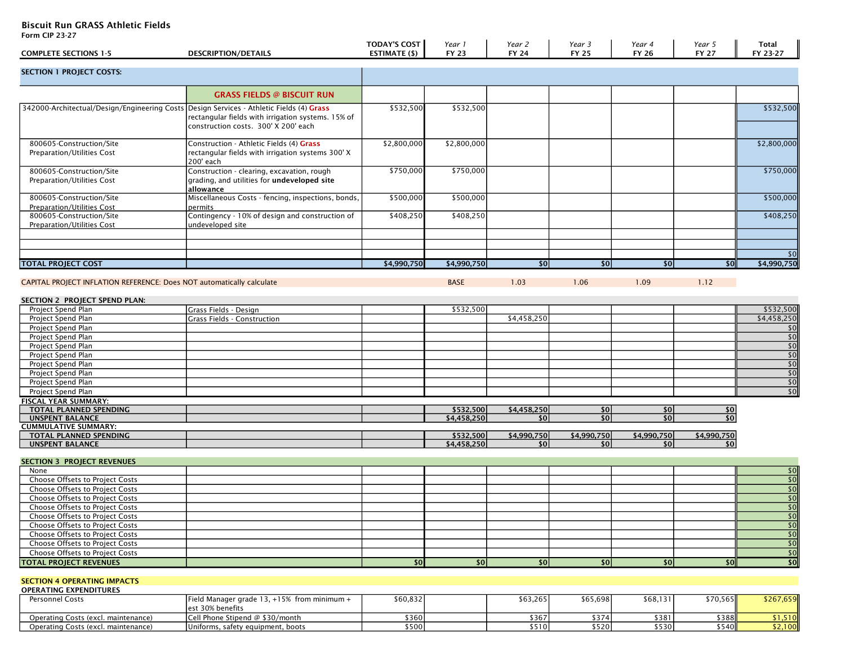## Biscuit Run GRASS Athletic Fields

Form CIP 23-27

| <b>COMPLETE SECTIONS 1-5</b>                                                             | <b>DESCRIPTION/DETAILS</b>                                                                                 | <b>TODAY'S COST</b><br><b>ESTIMATE (\$)</b> | Year 1<br><b>FY 23</b> | Year 2<br><b>FY 24</b> | Year 3<br><b>FY 25</b> | Year 4<br><b>FY 26</b> | Year 5<br><b>FY 27</b> | <b>Total</b><br>FY 23-27              |
|------------------------------------------------------------------------------------------|------------------------------------------------------------------------------------------------------------|---------------------------------------------|------------------------|------------------------|------------------------|------------------------|------------------------|---------------------------------------|
| <b>SECTION 1 PROJECT COSTS:</b>                                                          |                                                                                                            |                                             |                        |                        |                        |                        |                        |                                       |
|                                                                                          | <b>GRASS FIELDS @ BISCUIT RUN</b>                                                                          |                                             |                        |                        |                        |                        |                        |                                       |
| 342000-Architectual/Design/Engineering Costs Design Services - Athletic Fields (4) Grass | rectangular fields with irrigation systems. 15% of<br>construction costs. 300' X 200' each                 | \$532,500                                   | \$532,500              |                        |                        |                        |                        | \$532,500                             |
| 800605-Construction/Site<br>Preparation/Utilities Cost                                   | Construction - Athletic Fields (4) Grass<br>rectangular fields with irrigation systems 300' X<br>200' each | \$2,800,000                                 | \$2,800,000            |                        |                        |                        |                        | \$2,800,000                           |
| 800605-Construction/Site<br>Preparation/Utilities Cost                                   | Construction - clearing, excavation, rough<br>grading, and utilities for undeveloped site<br>allowance     | \$750,000                                   | \$750,000              |                        |                        |                        |                        | \$750,000                             |
| 800605-Construction/Site<br><b>Preparation/Utilities Cost</b>                            | Miscellaneous Costs - fencing, inspections, bonds,<br>permits                                              | \$500,000                                   | \$500,000              |                        |                        |                        |                        | \$500,000                             |
| 800605-Construction/Site<br><b>Preparation/Utilities Cost</b>                            | Contingency - 10% of design and construction of<br>undeveloped site                                        | \$408,250                                   | \$408,250              |                        |                        |                        |                        | \$408,250                             |
| <b>TOTAL PROJECT COST</b>                                                                |                                                                                                            | \$4,990,750                                 | \$4,990,750            | \$0                    | \$0                    | \$0                    | \$0                    | \$0<br>\$4,990,750                    |
| CAPITAL PROJECT INFLATION REFERENCE: Does NOT automatically calculate                    |                                                                                                            |                                             | <b>BASE</b>            | 1.03                   | 1.06                   | 1.09                   | 1.12                   |                                       |
| SECTION 2 PROJECT SPEND PLAN:                                                            |                                                                                                            |                                             |                        |                        |                        |                        |                        |                                       |
| Project Spend Plan                                                                       | Grass Fields - Design                                                                                      |                                             | \$532,500              |                        |                        |                        |                        | \$532,500                             |
| Project Spend Plan                                                                       | Grass Fields - Construction                                                                                |                                             |                        | \$4,458,250            |                        |                        |                        | \$4,458,250                           |
| Project Spend Plan                                                                       |                                                                                                            |                                             |                        |                        |                        |                        |                        | \$0                                   |
|                                                                                          |                                                                                                            |                                             |                        |                        |                        |                        |                        | $\overline{50}$                       |
| Project Spend Plan                                                                       |                                                                                                            |                                             |                        |                        |                        |                        |                        |                                       |
| Project Spend Plan                                                                       |                                                                                                            |                                             |                        |                        |                        |                        |                        | $\overline{50}$<br>$\overline{50}$    |
| Project Spend Plan                                                                       |                                                                                                            |                                             |                        |                        |                        |                        |                        | 50                                    |
| Project Spend Plan                                                                       |                                                                                                            |                                             |                        |                        |                        |                        |                        |                                       |
| Project Spend Plan                                                                       |                                                                                                            |                                             |                        |                        |                        |                        |                        | $\overline{50}$                       |
| Project Spend Plan                                                                       |                                                                                                            |                                             |                        |                        |                        |                        |                        | 50                                    |
| Project Spend Plan                                                                       |                                                                                                            |                                             |                        |                        |                        |                        |                        | $\overline{50}$                       |
| <b>FISCAL YEAR SUMMARY:</b>                                                              |                                                                                                            |                                             |                        |                        |                        |                        |                        |                                       |
| TOTAL PLANNED SPENDING                                                                   |                                                                                                            |                                             | \$532,500              | \$4,458,250            | \$0<br>\$0             | \$0                    | \$0                    |                                       |
| <b>UNSPENT BALANCE</b><br><b>CUMMULATIVE SUMMARY:</b>                                    |                                                                                                            |                                             | \$4,458,250            | \$0                    |                        | \$0                    | \$0                    |                                       |
| TOTAL PLANNED SPENDING                                                                   |                                                                                                            |                                             | \$532,500              | \$4,990,750            | \$4,990,750            | \$4,990,750            | \$4,990,750            |                                       |
| <b>UNSPENT BALANCE</b>                                                                   |                                                                                                            |                                             | \$4,458,250            | \$0                    | \$0                    | \$0                    | \$0                    |                                       |
| <b>SECTION 3 PROJECT REVENUES</b>                                                        |                                                                                                            |                                             |                        |                        |                        |                        |                        |                                       |
| None                                                                                     |                                                                                                            |                                             |                        |                        |                        |                        |                        | s                                     |
| Choose Offsets to Project Costs                                                          |                                                                                                            |                                             |                        |                        |                        |                        |                        | $\overline{\sqrt{50}}$                |
| Choose Offsets to Project Costs                                                          |                                                                                                            |                                             |                        |                        |                        |                        |                        | $\overline{50}$                       |
| Choose Offsets to Project Costs                                                          |                                                                                                            |                                             |                        |                        |                        |                        |                        | $\overline{50}$                       |
| Choose Offsets to Project Costs                                                          |                                                                                                            |                                             |                        |                        |                        |                        |                        | $\overline{50}$                       |
| Choose Offsets to Project Costs                                                          |                                                                                                            |                                             |                        |                        |                        |                        |                        | $\overline{50}$                       |
| <b>Choose Offsets to Project Costs</b>                                                   |                                                                                                            |                                             |                        |                        |                        |                        |                        | \$0                                   |
| Choose Offsets to Project Costs                                                          |                                                                                                            |                                             |                        |                        |                        |                        |                        | $\overline{50}$                       |
| Choose Offsets to Project Costs                                                          |                                                                                                            |                                             |                        |                        |                        |                        |                        | 50                                    |
| Choose Offsets to Project Costs                                                          |                                                                                                            |                                             |                        |                        |                        |                        |                        | $\overline{\overline{\mathfrak{so}}}$ |
| <b>TOTAL PROJECT REVENUES</b>                                                            |                                                                                                            | 50                                          | 50                     | 10                     | \$0                    | $\vert$ \$0            | $\sqrt{50}$            | $\overline{\mathfrak{so}}$            |
| <b>SECTION 4 OPERATING IMPACTS</b><br><b>OPERATING EXPENDITURES</b>                      |                                                                                                            |                                             |                        |                        |                        |                        |                        |                                       |
| Personnel Costs                                                                          | Field Manager grade 13, +15% from minimum +<br>est 30% benefits                                            | \$60,832                                    |                        | \$63,265               | \$65,698               | \$68,131               | \$70,565               | \$267,659                             |
| Operating Costs (excl. maintenance)                                                      | Cell Phone Stipend @ \$30/month                                                                            | \$360                                       |                        | \$367                  | \$374                  | \$381                  | \$388                  | \$1,510                               |

Operating Costs (excl. maintenance) |Uniforms, safety equipment, boots | \$500| \$510 | \$520 \$530 \$540 \$540 \$540 \$530 \$540 \$540 \$540 \$52,100 \$530 \$540 \$530 \$540 \$530 \$540 \$530 \$540 \$530 \$540 \$530 \$540 \$5